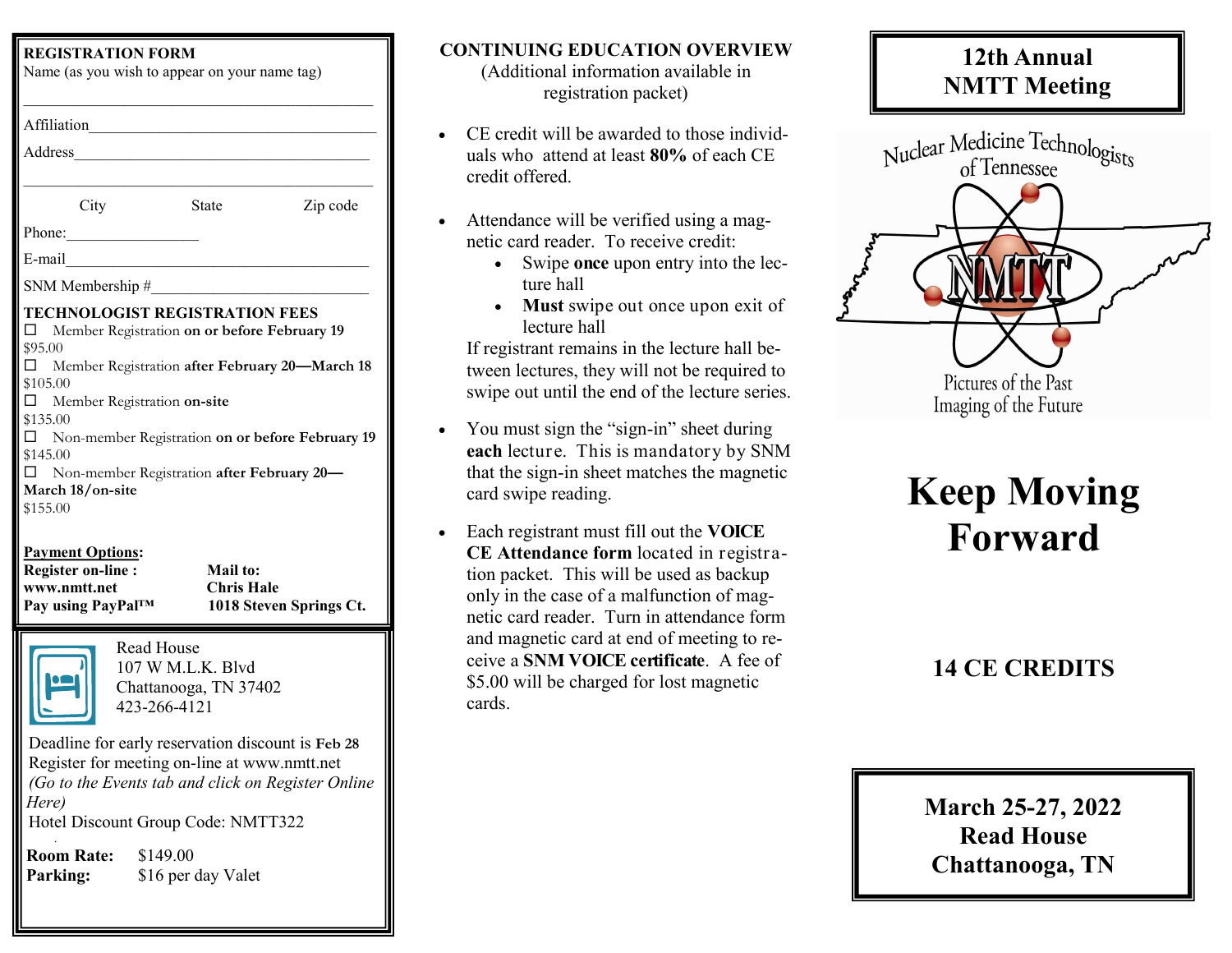#### **REGISTRATION FORM**

| Affiliation                                                                                                                                  | <u> 1989 - Andrea Stadt, fransk politik (d. 1989)</u>                                                                                        |                                                  |
|----------------------------------------------------------------------------------------------------------------------------------------------|----------------------------------------------------------------------------------------------------------------------------------------------|--------------------------------------------------|
| Address                                                                                                                                      | the control of the control of the control of the control of the control of                                                                   |                                                  |
|                                                                                                                                              |                                                                                                                                              |                                                  |
| City                                                                                                                                         | <b>State</b>                                                                                                                                 | Zip code                                         |
| Phone:                                                                                                                                       |                                                                                                                                              |                                                  |
| E-mail                                                                                                                                       | the control of the control of                                                                                                                |                                                  |
| SNM Membership #                                                                                                                             |                                                                                                                                              |                                                  |
| TECHNOLOGIST REGISTRATION FEES<br>\$95.00<br>\$105.00<br>Member Registration on-site<br>\$135.00<br>\$145.00<br>March 18/on-site<br>\$155.00 | Member Registration on or before February 19<br>Member Registration after February 20-March 18<br>Non-member Registration after February 20- | Non-member Registration on or before February 19 |
| <b>Payment Options:</b>                                                                                                                      |                                                                                                                                              |                                                  |
| <b>Register on-line:</b>                                                                                                                     | Mail to:                                                                                                                                     |                                                  |
| www.nmtt.net                                                                                                                                 | <b>Chris Hale</b>                                                                                                                            |                                                  |

**Pay using PayPal™ 1018 Steven Springs Ct.**



Read House 107 W M.L.K. Blvd Chattanooga, TN 37402 423-266-4121

Deadline for early reservation discount is **Feb 28**  Register for meeting on-line at www.nmtt.net *(Go to the Events tab and click on Register Online Here)* Hotel Discount Group Code: NMTT322 .

**Room Rate:** \$149.00 **Parking:** \$16 per day Valet

#### **CONTINUING EDUCATION OVERVIEW**

(Additional information available in registration packet)

- CE credit will be awarded to those individuals who attend at least **80%** of each CE credit offered.
- Attendance will be verified using a magnetic card reader. To receive credit:
	- Swipe **once** upon entry into the lecture hall
	- **Must** swipe out once upon exit of lecture hall

If registrant remains in the lecture hall between lectures, they will not be required to swipe out until the end of the lecture series.

- You must sign the "sign-in" sheet during **each** lecture. This is mandatory by SNM that the sign-in sheet matches the magnetic card swipe reading.
- Each registrant must fill out the **VOICE CE Attendance form** located in registration packet. This will be used as backup only in the case of a malfunction of magnetic card reader. Turn in attendance form and magnetic card at end of meeting to receive a **SNM VOICE certificate**. A fee of \$5.00 will be charged for lost magnetic cards.

# **12th Annual NMTT Meeting**



# **Keep Moving Forward**

## **14 CE CREDITS**

# **March 25-27, 2022 Read House Chattanooga, TN**